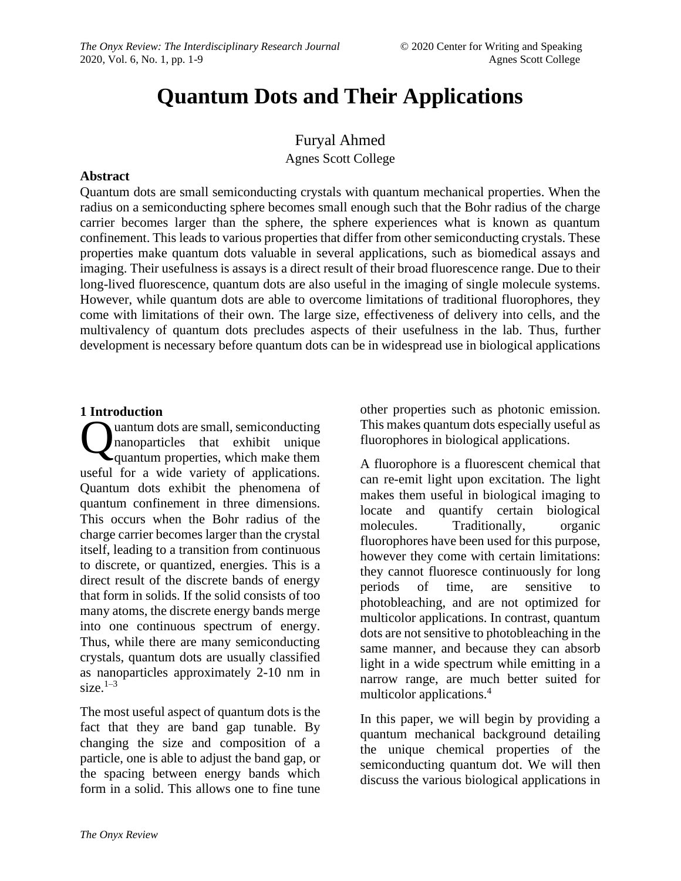# **Quantum Dots and Their Applications**

Furyal Ahmed Agnes Scott College

#### **Abstract**

Quantum dots are small semiconducting crystals with quantum mechanical properties. When the radius on a semiconducting sphere becomes small enough such that the Bohr radius of the charge carrier becomes larger than the sphere, the sphere experiences what is known as quantum confinement. This leads to various properties that differ from other semiconducting crystals. These properties make quantum dots valuable in several applications, such as biomedical assays and imaging. Their usefulness is assays is a direct result of their broad fluorescence range. Due to their long-lived fluorescence, quantum dots are also useful in the imaging of single molecule systems. However, while quantum dots are able to overcome limitations of traditional fluorophores, they come with limitations of their own. The large size, effectiveness of delivery into cells, and the multivalency of quantum dots precludes aspects of their usefulness in the lab. Thus, further development is necessary before quantum dots can be in widespread use in biological applications

#### **1 Introduction**

uantum dots are small, semiconducting nanoparticles that exhibit unique **C**uantum dots are small, semiconducting<br>
quantum properties, which make them useful for a wide variety of applications. Quantum dots exhibit the phenomena of quantum confinement in three dimensions. This occurs when the Bohr radius of the charge carrier becomes larger than the crystal itself, leading to a transition from continuous to discrete, or quantized, energies. This is a direct result of the discrete bands of energy that form in solids. If the solid consists of too many atoms, the discrete energy bands merge into one continuous spectrum of energy. Thus, while there are many semiconducting crystals, quantum dots are usually classified as nanoparticles approximately 2-10 nm in size. $1-3$ 

The most useful aspect of quantum dots is the fact that they are band gap tunable. By changing the size and composition of a particle, one is able to adjust the band gap, or the spacing between energy bands which form in a solid. This allows one to fine tune

other properties such as photonic emission. This makes quantum dots especially useful as fluorophores in biological applications.

A fluorophore is a fluorescent chemical that can re-emit light upon excitation. The light makes them useful in biological imaging to locate and quantify certain biological molecules. Traditionally, organic fluorophores have been used for this purpose, however they come with certain limitations: they cannot fluoresce continuously for long periods of time, are sensitive to photobleaching, and are not optimized for multicolor applications. In contrast, quantum dots are not sensitive to photobleaching in the same manner, and because they can absorb light in a wide spectrum while emitting in a narrow range, are much better suited for multicolor applications.<sup>4</sup>

In this paper, we will begin by providing a quantum mechanical background detailing the unique chemical properties of the semiconducting quantum dot. We will then discuss the various biological applications in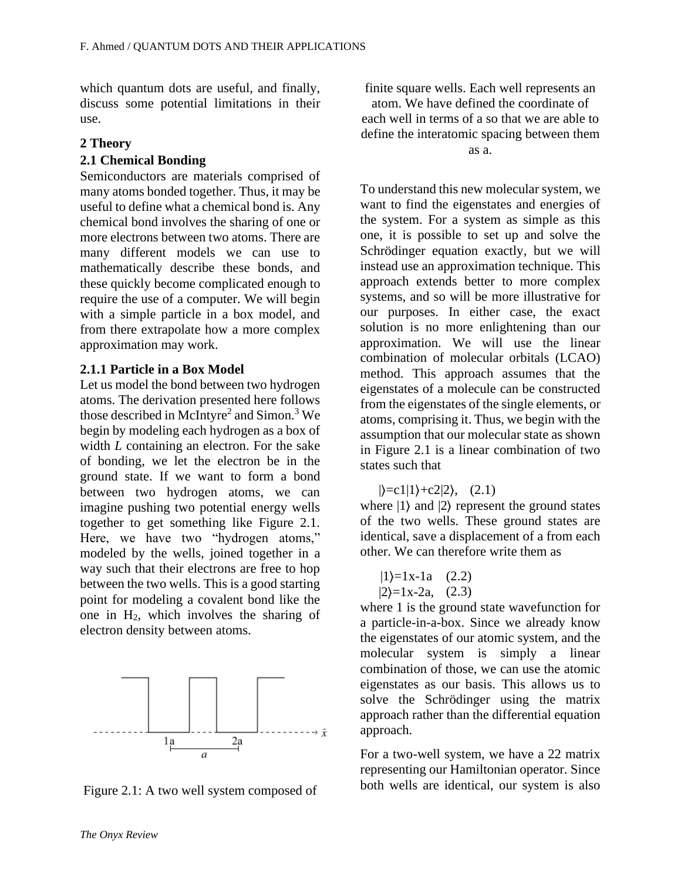which quantum dots are useful, and finally, discuss some potential limitations in their use.

#### **2 Theory**

#### **2.1 Chemical Bonding**

Semiconductors are materials comprised of many atoms bonded together. Thus, it may be useful to define what a chemical bond is. Any chemical bond involves the sharing of one or more electrons between two atoms. There are many different models we can use to mathematically describe these bonds, and these quickly become complicated enough to require the use of a computer. We will begin with a simple particle in a box model, and from there extrapolate how a more complex approximation may work.

#### **2.1.1 Particle in a Box Model**

Let us model the bond between two hydrogen atoms. The derivation presented here follows those described in McIntyre<sup>2</sup> and Simon.<sup>3</sup> We begin by modeling each hydrogen as a box of width *L* containing an electron. For the sake of bonding, we let the electron be in the ground state. If we want to form a bond between two hydrogen atoms, we can imagine pushing two potential energy wells together to get something like Figure 2.1. Here, we have two "hydrogen atoms," modeled by the wells, joined together in a way such that their electrons are free to hop between the two wells. This is a good starting point for modeling a covalent bond like the one in  $H_2$ , which involves the sharing of electron density between atoms.



Figure 2.1: A two well system composed of

finite square wells. Each well represents an atom. We have defined the coordinate of each well in terms of a so that we are able to define the interatomic spacing between them as a.

To understand this new molecular system, we want to find the eigenstates and energies of the system. For a system as simple as this one, it is possible to set up and solve the Schrödinger equation exactly, but we will instead use an approximation technique. This approach extends better to more complex systems, and so will be more illustrative for our purposes. In either case, the exact solution is no more enlightening than our approximation. We will use the linear combination of molecular orbitals (LCAO) method. This approach assumes that the eigenstates of a molecule can be constructed from the eigenstates of the single elements, or atoms, comprising it. Thus, we begin with the assumption that our molecular state as shown in Figure 2.1 is a linear combination of two states such that

 $|\right>=c1|1\rangle+c2|2\rangle, (2.1)$ 

where  $|1\rangle$  and  $|2\rangle$  represent the ground states of the two wells. These ground states are identical, save a displacement of a from each other. We can therefore write them as

$$
|1\rangle=1x-1a
$$
 (2.2)  
 $|2\rangle=1x-2a$ , (2.3)

where 1 is the ground state wavefunction for a particle-in-a-box. Since we already know the eigenstates of our atomic system, and the molecular system is simply a linear combination of those, we can use the atomic eigenstates as our basis. This allows us to solve the Schrödinger using the matrix approach rather than the differential equation approach.

For a two-well system, we have a 22 matrix representing our Hamiltonian operator. Since both wells are identical, our system is also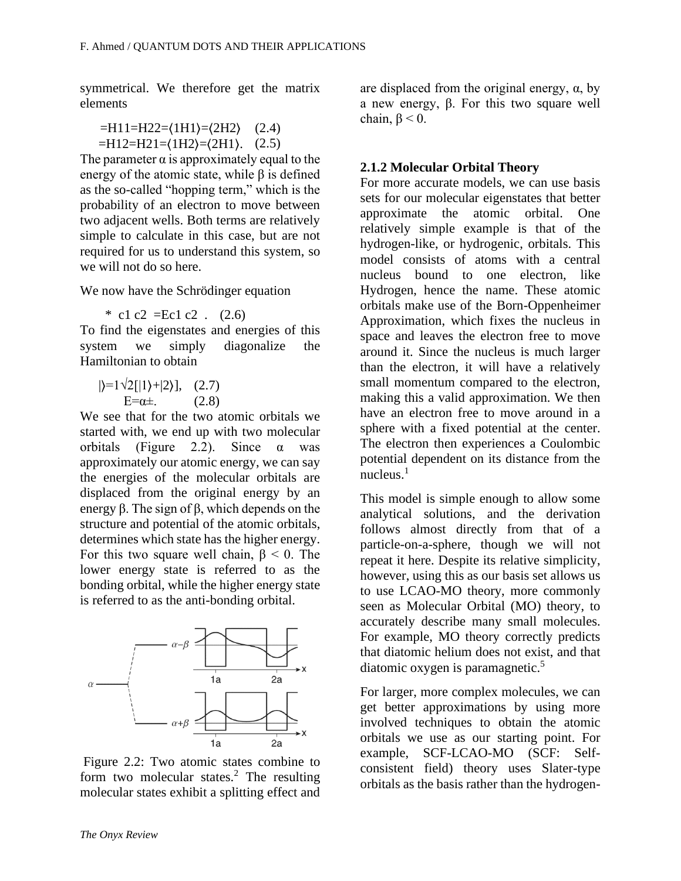symmetrical. We therefore get the matrix elements

 $=$ H11=H22= $(1H1)$ = $(2H2)$  (2.4)  $=$ H12=H21= $(1H2)$ = $(2H1)$ . (2.5)

The parameter  $\alpha$  is approximately equal to the energy of the atomic state, while  $\beta$  is defined as the so-called "hopping term," which is the probability of an electron to move between two adjacent wells. Both terms are relatively simple to calculate in this case, but are not required for us to understand this system, so we will not do so here.

We now have the Schrödinger equation

 $*$  c1 c2 = Ec1 c2 . (2.6)

To find the eigenstates and energies of this system we simply diagonalize the Hamiltonian to obtain

 $|\rangle=1\sqrt{2}$ [|1 $\rangle+|2\rangle$ ], (2.7)  $E=\alpha\pm$ . (2.8)

We see that for the two atomic orbitals we started with, we end up with two molecular orbitals (Figure 2.2). Since  $\alpha$  was approximately our atomic energy, we can say the energies of the molecular orbitals are displaced from the original energy by an energy β. The sign of β, which depends on the structure and potential of the atomic orbitals, determines which state has the higher energy. For this two square well chain,  $\beta$  < 0. The lower energy state is referred to as the bonding orbital, while the higher energy state is referred to as the anti-bonding orbital.



Figure 2.2: Two atomic states combine to form two molecular states.<sup>2</sup> The resulting molecular states exhibit a splitting effect and

are displaced from the original energy,  $\alpha$ , by a new energy, β. For this two square well chain,  $\beta$  < 0.

#### **2.1.2 Molecular Orbital Theory**

For more accurate models, we can use basis sets for our molecular eigenstates that better approximate the atomic orbital. One relatively simple example is that of the hydrogen-like, or hydrogenic, orbitals. This model consists of atoms with a central nucleus bound to one electron, like Hydrogen, hence the name. These atomic orbitals make use of the Born-Oppenheimer Approximation, which fixes the nucleus in space and leaves the electron free to move around it. Since the nucleus is much larger than the electron, it will have a relatively small momentum compared to the electron, making this a valid approximation. We then have an electron free to move around in a sphere with a fixed potential at the center. The electron then experiences a Coulombic potential dependent on its distance from the nucleus. $1$ 

This model is simple enough to allow some analytical solutions, and the derivation follows almost directly from that of a particle-on-a-sphere, though we will not repeat it here. Despite its relative simplicity, however, using this as our basis set allows us to use LCAO-MO theory, more commonly seen as Molecular Orbital (MO) theory, to accurately describe many small molecules. For example, MO theory correctly predicts that diatomic helium does not exist, and that diatomic oxygen is paramagnetic.<sup>5</sup>

For larger, more complex molecules, we can get better approximations by using more involved techniques to obtain the atomic orbitals we use as our starting point. For example, SCF-LCAO-MO (SCF: Selfconsistent field) theory uses Slater-type orbitals as the basis rather than the hydrogen-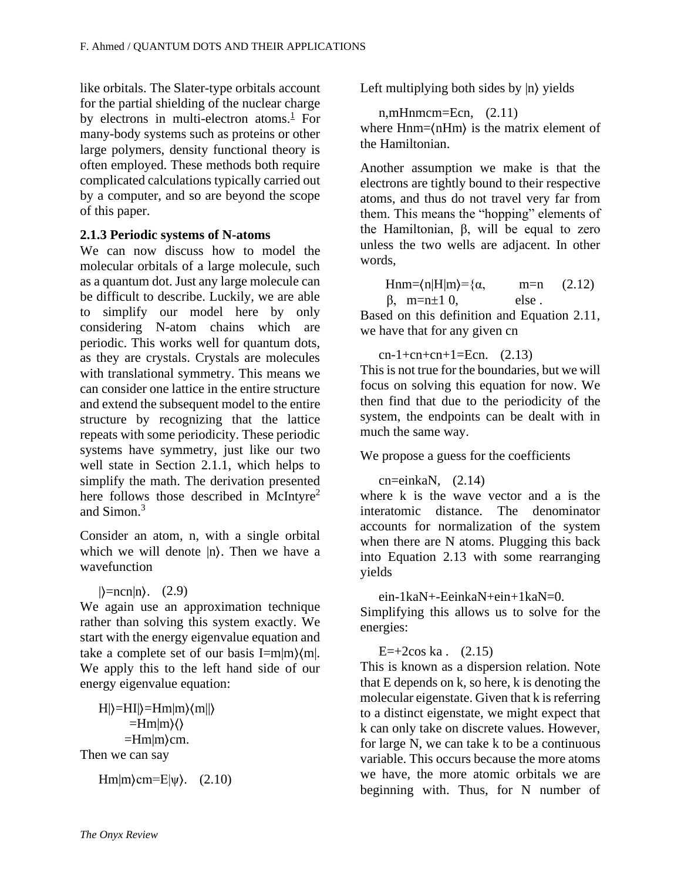like orbitals. The Slater-type orbitals account for the partial shielding of the nuclear charge by electrons in multi-electron atoms.<sup>[1](http://classes/onyx_rev/final.html#X0-atkins_molecular_2011)</sup> For many-body systems such as proteins or other large polymers, density functional theory is often employed. These methods both require complicated calculations typically carried out by a computer, and so are beyond the scope of this paper.

#### **2.1.3 Periodic systems of N-atoms**

We can now discuss how to model the molecular orbitals of a large molecule, such as a quantum dot. Just any large molecule can be difficult to describe. Luckily, we are able to simplify our model here by only considering N-atom chains which are periodic. This works well for quantum dots, as they are crystals. Crystals are molecules with translational symmetry. This means we can consider one lattice in the entire structure and extend the subsequent model to the entire structure by recognizing that the lattice repeats with some periodicity. These periodic systems have symmetry, just like our two well state in Section 2.1.1, which helps to simplify the math. The derivation presented here follows those described in McIntyre<sup>2</sup> and Simon.<sup>3</sup>

Consider an atom, n, with a single orbital which we will denote  $|n\rangle$ . Then we have a wavefunction

```
|\rangle=ncn|n\rangle. (2.9)
```
We again use an approximation technique rather than solving this system exactly. We start with the energy eigenvalue equation and take a complete set of our basis I=m|m $\{m\}$ . We apply this to the left hand side of our energy eigenvalue equation:

 $H|\right>=HI|\right>=Hm|m\rangle\langle m||\rangle$  $=$ Hm $|m\rangle$  $\langle$  $=$ Hm $|m\rangle$ cm. Then we can say

Hm $|m\rangle$ cm=E $|\psi\rangle$ . (2.10)

Left multiplying both sides by |n \, yields

n,mHnmcm=Ecn, (2.11) where Hnm= $\langle nHm \rangle$  is the matrix element of the Hamiltonian.

Another assumption we make is that the electrons are tightly bound to their respective atoms, and thus do not travel very far from them. This means the "hopping" elements of the Hamiltonian,  $\beta$ , will be equal to zero unless the two wells are adjacent. In other words,

Hnm= $\langle n|H|m\rangle = \{\alpha, \qquad m=n\}$  $\beta$ , m=n $\pm 1$  0, else. (2.12)

Based on this definition and Equation 2.11, we have that for any given cn

 $cn-1+cn+cn+1=Ecn.$  (2.13) This is not true for the boundaries, but we will focus on solving this equation for now. We then find that due to the periodicity of the system, the endpoints can be dealt with in much the same way.

We propose a guess for the coefficients

 $cn = einkaN$ ,  $(2.14)$ 

where k is the wave vector and a is the interatomic distance. The denominator accounts for normalization of the system when there are N atoms. Plugging this back into Equation 2.13 with some rearranging yields

ein-1kaN+-EeinkaN+ein+1kaN=0.

Simplifying this allows us to solve for the energies:

 $E=+2\cos ka$ . (2.15)

This is known as a dispersion relation. Note that E depends on k, so here, k is denoting the molecular eigenstate. Given that k is referring to a distinct eigenstate, we might expect that k can only take on discrete values. However, for large N, we can take k to be a continuous variable. This occurs because the more atoms we have, the more atomic orbitals we are beginning with. Thus, for N number of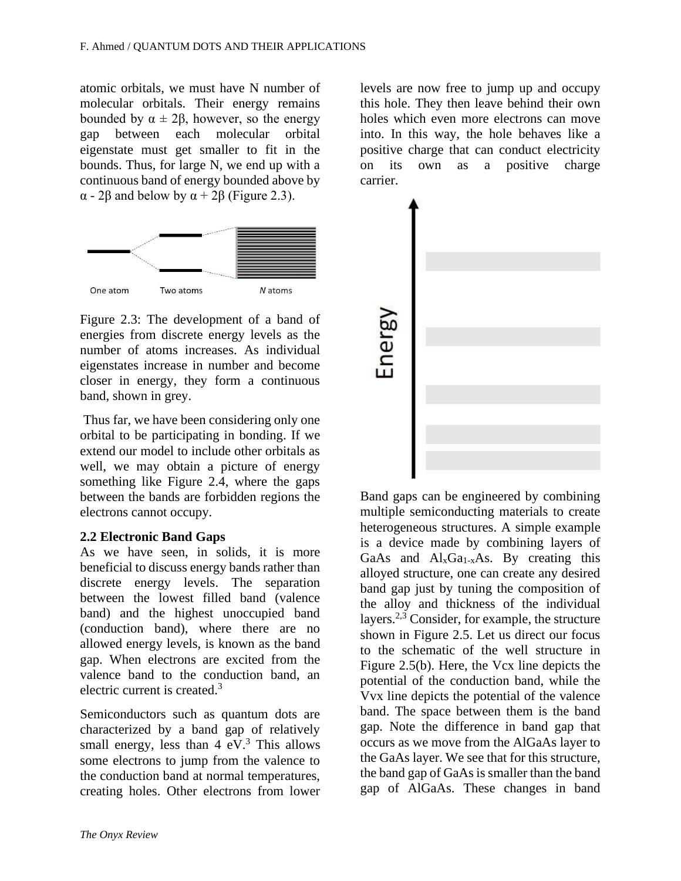atomic orbitals, we must have N number of molecular orbitals. Their energy remains bounded by  $\alpha \pm 2\beta$ , however, so the energy gap between each molecular orbital eigenstate must get smaller to fit in the bounds. Thus, for large N, we end up with a continuous band of energy bounded above by α - 2β and below by α + 2β (Figure 2.3).



Figure 2.3: The development of a band of energies from discrete energy levels as the number of atoms increases. As individual eigenstates increase in number and become closer in energy, they form a continuous band, shown in grey.

Thus far, we have been considering only one orbital to be participating in bonding. If we extend our model to include other orbitals as well, we may obtain a picture of energy something like Figure 2.4, where the gaps between the bands are forbidden regions the electrons cannot occupy.

## **2.2 Electronic Band Gaps**

As we have seen, in solids, it is more beneficial to discuss energy bands rather than discrete energy levels. The separation between the lowest filled band (valence band) and the highest unoccupied band (conduction band), where there are no allowed energy levels, is known as the band gap. When electrons are excited from the valence band to the conduction band, an electric current is created.<sup>3</sup>

Semiconductors such as quantum dots are characterized by a band gap of relatively small energy, less than  $4 \text{ eV}^3$ . This allows some electrons to jump from the valence to the conduction band at normal temperatures, creating holes. Other electrons from lower levels are now free to jump up and occupy this hole. They then leave behind their own holes which even more electrons can move into. In this way, the hole behaves like a positive charge that can conduct electricity on its own as a positive charge carrier.



Band gaps can be engineered by combining multiple semiconducting materials to create heterogeneous structures. A simple example is a device made by combining layers of GaAs and  $Al_xGa_{1-x}As$ . By creating this alloyed structure, one can create any desired band gap just by tuning the composition of the alloy and thickness of the individual layers.<sup>2,3</sup> Consider, for example, the structure shown in Figure 2.5. Let us direct our focus to the schematic of the well structure in Figure 2.5(b). Here, the Vcx line depicts the potential of the conduction band, while the Vvx line depicts the potential of the valence band. The space between them is the band gap. Note the difference in band gap that occurs as we move from the AlGaAs layer to the GaAs layer. We see that for this structure, the band gap of GaAs is smaller than the band gap of AlGaAs. These changes in band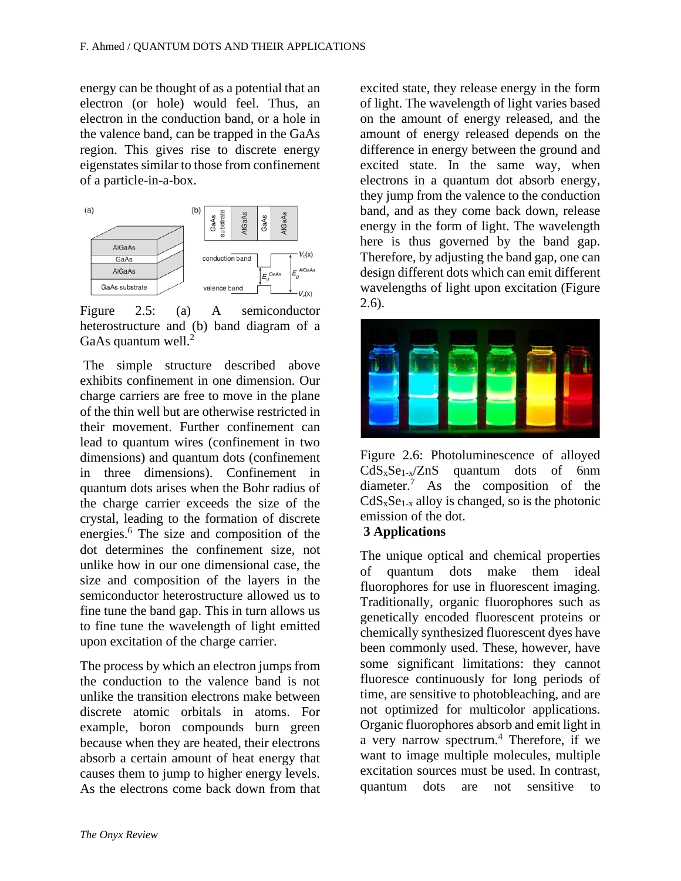energy can be thought of as a potential that an electron (or hole) would feel. Thus, an electron in the conduction band, or a hole in the valence band, can be trapped in the GaAs region. This gives rise to discrete energy eigenstates similar to those from confinement of a particle-in-a-box.



Figure 2.5: (a) A semiconductor heterostructure and (b) band diagram of a GaAs quantum well.<sup>2</sup>

The simple structure described above exhibits confinement in one dimension. Our charge carriers are free to move in the plane of the thin well but are otherwise restricted in their movement. Further confinement can lead to quantum wires (confinement in two dimensions) and quantum dots (confinement in three dimensions). Confinement in quantum dots arises when the Bohr radius of the charge carrier exceeds the size of the crystal, leading to the formation of discrete energies.<sup>6</sup> The size and composition of the dot determines the confinement size, not unlike how in our one dimensional case, the size and composition of the layers in the semiconductor heterostructure allowed us to fine tune the band gap. This in turn allows us to fine tune the wavelength of light emitted upon excitation of the charge carrier.

The process by which an electron jumps from the conduction to the valence band is not unlike the transition electrons make between discrete atomic orbitals in atoms. For example, boron compounds burn green because when they are heated, their electrons absorb a certain amount of heat energy that causes them to jump to higher energy levels. As the electrons come back down from that excited state, they release energy in the form of light. The wavelength of light varies based on the amount of energy released, and the amount of energy released depends on the difference in energy between the ground and excited state. In the same way, when electrons in a quantum dot absorb energy, they jump from the valence to the conduction band, and as they come back down, release energy in the form of light. The wavelength here is thus governed by the band gap. Therefore, by adjusting the band gap, one can design different dots which can emit different wavelengths of light upon excitation (Figure 2.6).



Figure 2.6: Photoluminescence of alloyed  $CdS<sub>x</sub>Se<sub>1-x</sub>/ZnS$  quantum dots of 6nm diameter.<sup>7</sup> As the composition of the  $CdS<sub>x</sub>Se<sub>1-x</sub>$  alloy is changed, so is the photonic emission of the dot.

## **3 Applications**

The unique optical and chemical properties of quantum dots make them ideal fluorophores for use in fluorescent imaging. Traditionally, organic fluorophores such as genetically encoded fluorescent proteins or chemically synthesized fluorescent dyes have been commonly used. These, however, have some significant limitations: they cannot fluoresce continuously for long periods of time, are sensitive to photobleaching, and are not optimized for multicolor applications. Organic fluorophores absorb and emit light in a very narrow spectrum.<sup>4</sup> Therefore, if we want to image multiple molecules, multiple excitation sources must be used. In contrast, quantum dots are not sensitive to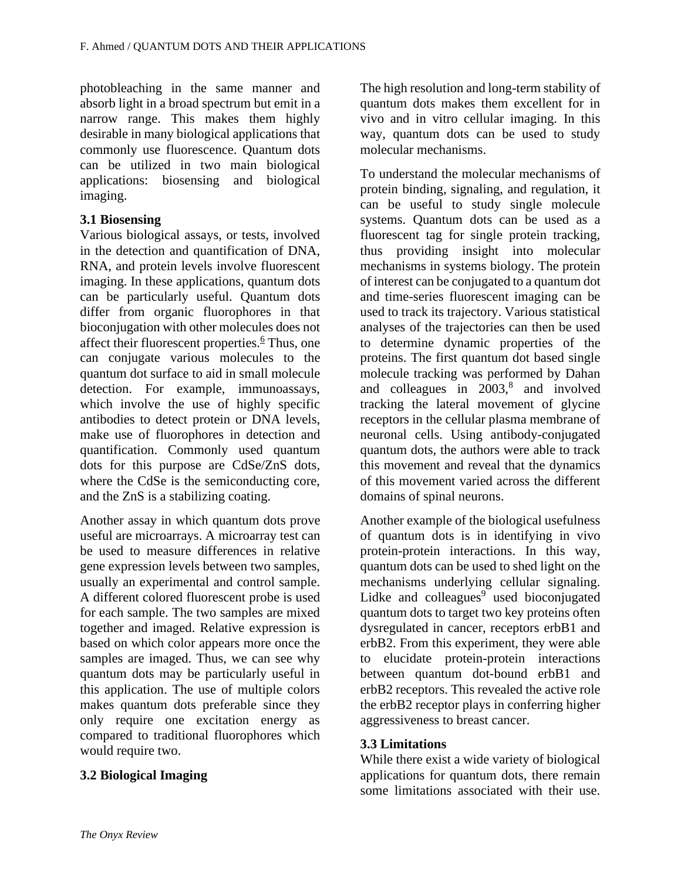photobleaching in the same manner and absorb light in a broad spectrum but emit in a narrow range. This makes them highly desirable in many biological applications that commonly use fluorescence. Quantum dots can be utilized in two main biological applications: biosensing and biological imaging.

## **3.1 Biosensing**

Various biological assays, or tests, involved in the detection and quantification of DNA, RNA, and protein levels involve fluorescent imaging. In these applications, quantum dots can be particularly useful. Quantum dots differ from organic fluorophores in that bioconjugation with other molecules does not affect their fluorescent properties.<sup> $6$ </sup> Thus, one can conjugate various molecules to the quantum dot surface to aid in small molecule detection. For example, immunoassays, which involve the use of highly specific antibodies to detect protein or DNA levels, make use of fluorophores in detection and quantification. Commonly used quantum dots for this purpose are CdSe/ZnS dots, where the CdSe is the semiconducting core, and the ZnS is a stabilizing coating.

Another assay in which quantum dots prove useful are microarrays. A microarray test can be used to measure differences in relative gene expression levels between two samples, usually an experimental and control sample. A different colored fluorescent probe is used for each sample. The two samples are mixed together and imaged. Relative expression is based on which color appears more once the samples are imaged. Thus, we can see why quantum dots may be particularly useful in this application. The use of multiple colors makes quantum dots preferable since they only require one excitation energy as compared to traditional fluorophores which would require two.

## **3.2 Biological Imaging**

The high resolution and long-term stability of quantum dots makes them excellent for in vivo and in vitro cellular imaging. In this way, quantum dots can be used to study molecular mechanisms.

To understand the molecular mechanisms of protein binding, signaling, and regulation, it can be useful to study single molecule systems. Quantum dots can be used as a fluorescent tag for single protein tracking, thus providing insight into molecular mechanisms in systems biology. The protein of interest can be conjugated to a quantum dot and time-series fluorescent imaging can be used to track its trajectory. Various statistical analyses of the trajectories can then be used to determine dynamic properties of the proteins. The first quantum dot based single molecule tracking was performed by Dahan and colleagues in  $2003$ ,<sup>8</sup> and involved tracking the lateral movement of glycine receptors in the cellular plasma membrane of neuronal cells. Using antibody-conjugated quantum dots, the authors were able to track this movement and reveal that the dynamics of this movement varied across the different domains of spinal neurons.

Another example of the biological usefulness of quantum dots is in identifying in vivo protein-protein interactions. In this way, quantum dots can be used to shed light on the mechanisms underlying cellular signaling. Lidke and colleagues<sup>9</sup> used bioconjugated quantum dots to target two key proteins often dysregulated in cancer, receptors erbB1 and erbB2. From this experiment, they were able to elucidate protein-protein interactions between quantum dot-bound erbB1 and erbB2 receptors. This revealed the active role the erbB2 receptor plays in conferring higher aggressiveness to breast cancer.

## **3.3 Limitations**

While there exist a wide variety of biological applications for quantum dots, there remain some limitations associated with their use.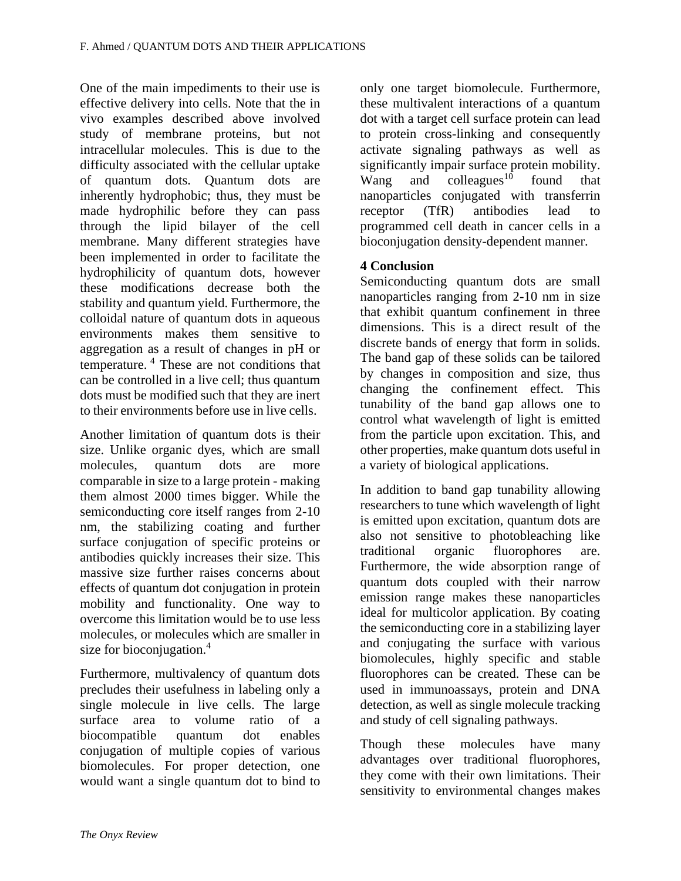One of the main impediments to their use is effective delivery into cells. Note that the in vivo examples described above involved study of membrane proteins, but not intracellular molecules. This is due to the difficulty associated with the cellular uptake of quantum dots. Quantum dots are inherently hydrophobic; thus, they must be made hydrophilic before they can pass through the lipid bilayer of the cell membrane. Many different strategies have been implemented in order to facilitate the hydrophilicity of quantum dots, however these modifications decrease both the stability and quantum yield. Furthermore, the colloidal nature of quantum dots in aqueous environments makes them sensitive to aggregation as a result of changes in pH or temperature. <sup>4</sup> These are not conditions that can be controlled in a live cell; thus quantum dots must be modified such that they are inert to their environments before use in live cells.

Another limitation of quantum dots is their size. Unlike organic dyes, which are small molecules, quantum dots are more comparable in size to a large protein - making them almost 2000 times bigger. While the semiconducting core itself ranges from 2-10 nm, the stabilizing coating and further surface conjugation of specific proteins or antibodies quickly increases their size. This massive size further raises concerns about effects of quantum dot conjugation in protein mobility and functionality. One way to overcome this limitation would be to use less molecules, or molecules which are smaller in size for bioconjugation.<sup>4</sup>

Furthermore, multivalency of quantum dots precludes their usefulness in labeling only a single molecule in live cells. The large surface area to volume ratio of a biocompatible quantum dot enables conjugation of multiple copies of various biomolecules. For proper detection, one would want a single quantum dot to bind to

only one target biomolecule. Furthermore, these multivalent interactions of a quantum dot with a target cell surface protein can lead to protein cross-linking and consequently activate signaling pathways as well as significantly impair surface protein mobility. Wang and colleagues $10$  found that nanoparticles conjugated with transferrin receptor (TfR) antibodies lead to programmed cell death in cancer cells in a bioconjugation density-dependent manner.

## **4 Conclusion**

Semiconducting quantum dots are small nanoparticles ranging from 2-10 nm in size that exhibit quantum confinement in three dimensions. This is a direct result of the discrete bands of energy that form in solids. The band gap of these solids can be tailored by changes in composition and size, thus changing the confinement effect. This tunability of the band gap allows one to control what wavelength of light is emitted from the particle upon excitation. This, and other properties, make quantum dots useful in a variety of biological applications.

In addition to band gap tunability allowing researchers to tune which wavelength of light is emitted upon excitation, quantum dots are also not sensitive to photobleaching like traditional organic fluorophores are. Furthermore, the wide absorption range of quantum dots coupled with their narrow emission range makes these nanoparticles ideal for multicolor application. By coating the semiconducting core in a stabilizing layer and conjugating the surface with various biomolecules, highly specific and stable fluorophores can be created. These can be used in immunoassays, protein and DNA detection, as well as single molecule tracking and study of cell signaling pathways.

Though these molecules have many advantages over traditional fluorophores, they come with their own limitations. Their sensitivity to environmental changes makes